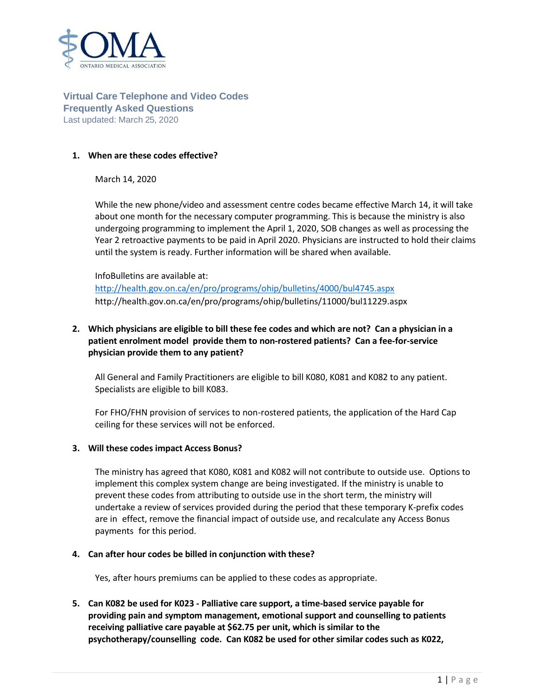

## **Virtual Care Telephone and Video Codes Frequently Asked Questions** Last updated: March 25, 2020

### **1. When are these codes effective?**

March 14, 2020

While the new phone/video and assessment centre codes became effective March 14, it will take about one month for the necessary computer programming. This is because the ministry is also undergoing programming to implement the April 1, 2020, SOB changes as well as processing the Year 2 retroactive payments to be paid in April 2020. Physicians are instructed to hold their claims until the system is ready. Further information will be shared when available.

InfoBulletins are available at: <http://health.gov.on.ca/en/pro/programs/ohip/bulletins/4000/bul4745.aspx> http://health.gov.on.ca/en/pro/programs/ohip/bulletins/11000/bul11229.aspx

# **2. Which physicians are eligible to bill these fee codes and which are not? Can a physician in a patient enrolment model provide them to non-rostered patients? Can a fee-for-service physician provide them to any patient?**

All General and Family Practitioners are eligible to bill K080, K081 and K082 to any patient. Specialists are eligible to bill K083.

For FHO/FHN provision of services to non-rostered patients, the application of the Hard Cap ceiling for these services will not be enforced.

### **3. Will these codes impact Access Bonus?**

The ministry has agreed that K080, K081 and K082 will not contribute to outside use. Options to implement this complex system change are being investigated. If the ministry is unable to prevent these codes from attributing to outside use in the short term, the ministry will undertake a review of services provided during the period that these temporary K-prefix codes are in effect, remove the financial impact of outside use, and recalculate any Access Bonus payments for this period.

### **4. Can after hour codes be billed in conjunction with these?**

Yes, after hours premiums can be applied to these codes as appropriate.

**5. Can K082 be used for K023 - Palliative care support, a time-based service payable for providing pain and symptom management, emotional support and counselling to patients receiving palliative care payable at \$62.75 per unit, which is similar to the psychotherapy/counselling code. Can K082 be used for other similar codes such as K022,**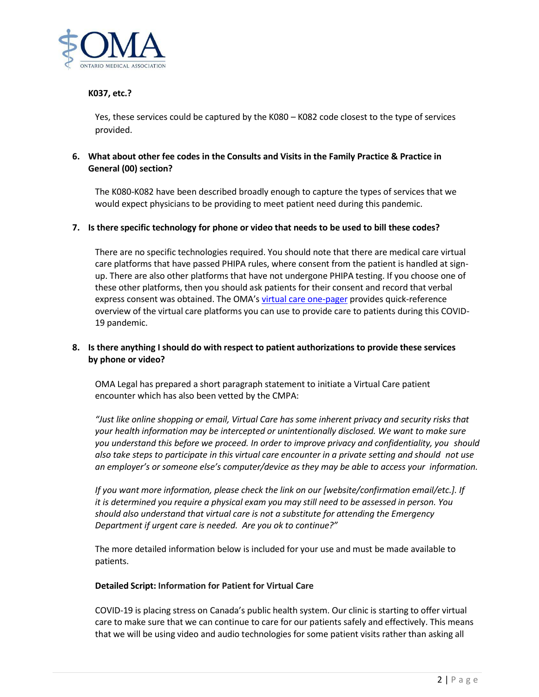

## **K037, etc.?**

Yes, these services could be captured by the K080 – K082 code closest to the type of services provided.

## **6. What about other fee codes in the Consults and Visits in the Family Practice & Practice in General (00) section?**

The K080-K082 have been described broadly enough to capture the types of services that we would expect physicians to be providing to meet patient need during this pandemic.

#### **7. Is there specific technology for phone or video that needs to be used to bill these codes?**

There are no specific technologies required. You should note that there are medical care virtual care platforms that have passed PHIPA rules, where consent from the patient is handled at signup. There are also other platforms that have not undergone PHIPA testing. If you choose one of these other platforms, then you should ask patients for their consent and record that verbal express consent was obtained. The OMA's [virtual care one-pager](https://content.oma.org/wp-content/uploads/private/VC-Covid19-visual-V4.pdf) provides quick-reference overview of the virtual care platforms you can use to provide care to patients during this COVID-19 pandemic.

## **8. Is there anything I should do with respect to patient authorizations to provide these services by phone or video?**

OMA Legal has prepared a short paragraph statement to initiate a Virtual Care patient encounter which has also been vetted by the CMPA:

*"Just like online shopping or email, Virtual Care has some inherent privacy and security risks that your health information may be intercepted or unintentionally disclosed. We want to make sure you understand this before we proceed. In order to improve privacy and confidentiality, you should also take steps to participate in this virtual care encounter in a private setting and should not use an employer's or someone else's computer/device as they may be able to access your information.*

*If you want more information, please check the link on our [website/confirmation email/etc.]. If it is determined you require a physical exam you may still need to be assessed in person. You should also understand that virtual care is not a substitute for attending the Emergency Department if urgent care is needed. Are you ok to continue?"*

The more detailed information below is included for your use and must be made available to patients.

#### **Detailed Script: Information for Patient for Virtual Care**

COVID-19 is placing stress on Canada's public health system. Our clinic is starting to offer virtual care to make sure that we can continue to care for our patients safely and effectively. This means that we will be using video and audio technologies for some patient visits rather than asking all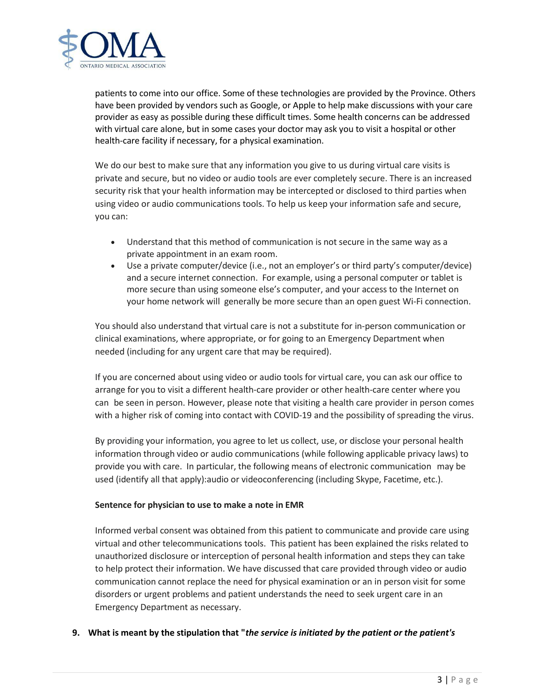

patients to come into our office. Some of these technologies are provided by the Province. Others have been provided by vendors such as Google, or Apple to help make discussions with your care provider as easy as possible during these difficult times. Some health concerns can be addressed with virtual care alone, but in some cases your doctor may ask you to visit a hospital or other health-care facility if necessary, for a physical examination.

We do our best to make sure that any information you give to us during virtual care visits is private and secure, but no video or audio tools are ever completely secure. There is an increased security risk that your health information may be intercepted or disclosed to third parties when using video or audio communications tools. To help us keep your information safe and secure, you can:

- Understand that this method of communication is not secure in the same way as a private appointment in an exam room.
- Use a private computer/device (i.e., not an employer's or third party's computer/device) and a secure internet connection. For example, using a personal computer or tablet is more secure than using someone else's computer, and your access to the Internet on your home network will generally be more secure than an open guest Wi-Fi connection.

You should also understand that virtual care is not a substitute for in-person communication or clinical examinations, where appropriate, or for going to an Emergency Department when needed (including for any urgent care that may be required).

If you are concerned about using video or audio tools for virtual care, you can ask our office to arrange for you to visit a different health-care provider or other health-care center where you can be seen in person. However, please note that visiting a health care provider in person comes with a higher risk of coming into contact with COVID-19 and the possibility of spreading the virus.

By providing your information, you agree to let us collect, use, or disclose your personal health information through video or audio communications (while following applicable privacy laws) to provide you with care. In particular, the following means of electronic communication may be used (identify all that apply):audio or videoconferencing (including Skype, Facetime, etc.).

### **Sentence for physician to use to make a note in EMR**

Informed verbal consent was obtained from this patient to communicate and provide care using virtual and other telecommunications tools. This patient has been explained the risks related to unauthorized disclosure or interception of personal health information and steps they can take to help protect their information. We have discussed that care provided through video or audio communication cannot replace the need for physical examination or an in person visit for some disorders or urgent problems and patient understands the need to seek urgent care in an Emergency Department as necessary.

### **9. What is meant by the stipulation that "***the service is initiated by the patient or the patient's*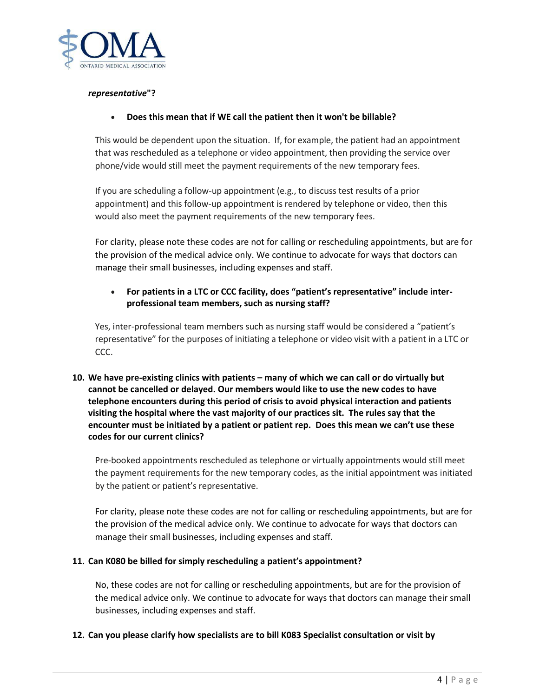

### *representative***"?**

### • **Does this mean that if WE call the patient then it won't be billable?**

This would be dependent upon the situation. If, for example, the patient had an appointment that was rescheduled as a telephone or video appointment, then providing the service over phone/vide would still meet the payment requirements of the new temporary fees.

If you are scheduling a follow-up appointment (e.g., to discuss test results of a prior appointment) and this follow-up appointment is rendered by telephone or video, then this would also meet the payment requirements of the new temporary fees.

For clarity, please note these codes are not for calling or rescheduling appointments, but are for the provision of the medical advice only. We continue to advocate for ways that doctors can manage their small businesses, including expenses and staff.

# • **For patients in a LTC or CCC facility, does "patient's representative" include interprofessional team members, such as nursing staff?**

Yes, inter-professional team members such as nursing staff would be considered a "patient's representative" for the purposes of initiating a telephone or video visit with a patient in a LTC or CCC.

**10. We have pre-existing clinics with patients – many of which we can call or do virtually but cannot be cancelled or delayed. Our members would like to use the new codes to have telephone encounters during this period of crisis to avoid physical interaction and patients visiting the hospital where the vast majority of our practices sit. The rules say that the encounter must be initiated by a patient or patient rep. Does this mean we can't use these codes for our current clinics?**

Pre-booked appointments rescheduled as telephone or virtually appointments would still meet the payment requirements for the new temporary codes, as the initial appointment was initiated by the patient or patient's representative.

For clarity, please note these codes are not for calling or rescheduling appointments, but are for the provision of the medical advice only. We continue to advocate for ways that doctors can manage their small businesses, including expenses and staff.

### **11. Can K080 be billed for simply rescheduling a patient's appointment?**

No, these codes are not for calling or rescheduling appointments, but are for the provision of the medical advice only. We continue to advocate for ways that doctors can manage their small businesses, including expenses and staff.

### **12. Can you please clarify how specialists are to bill K083 Specialist consultation or visit by**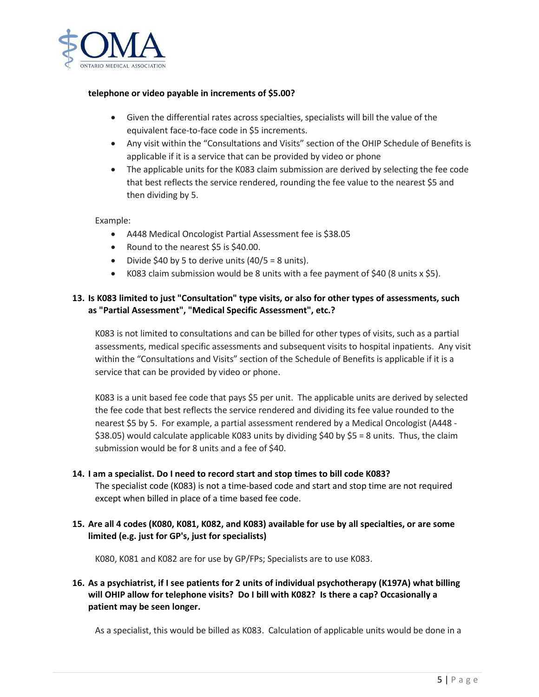

#### **telephone or video payable in increments of \$5.00?**

- Given the differential rates across specialties, specialists will bill the value of the equivalent face-to-face code in \$5 increments.
- Any visit within the "Consultations and Visits" section of the OHIP Schedule of Benefits is applicable if it is a service that can be provided by video or phone
- The applicable units for the K083 claim submission are derived by selecting the fee code that best reflects the service rendered, rounding the fee value to the nearest \$5 and then dividing by 5.

#### Example:

- A448 Medical Oncologist Partial Assessment fee is \$38.05
- Round to the nearest \$5 is \$40.00.
- Divide \$40 by 5 to derive units  $(40/5 = 8 \text{ units})$ .
- K083 claim submission would be 8 units with a fee payment of \$40 (8 units x \$5).

## **13. Is K083 limited to just "Consultation" type visits, or also for other types of assessments, such as "Partial Assessment", "Medical Specific Assessment", etc.?**

K083 is not limited to consultations and can be billed for other types of visits, such as a partial assessments, medical specific assessments and subsequent visits to hospital inpatients. Any visit within the "Consultations and Visits" section of the Schedule of Benefits is applicable if it is a service that can be provided by video or phone.

K083 is a unit based fee code that pays \$5 per unit. The applicable units are derived by selected the fee code that best reflects the service rendered and dividing its fee value rounded to the nearest \$5 by 5. For example, a partial assessment rendered by a Medical Oncologist (A448 - \$38.05) would calculate applicable K083 units by dividing \$40 by \$5 = 8 units. Thus, the claim submission would be for 8 units and a fee of \$40.

- **14. I am a specialist. Do I need to record start and stop times to bill code K083?** The specialist code (K083) is not a time-based code and start and stop time are not required except when billed in place of a time based fee code.
- **15. Are all 4 codes (K080, K081, K082, and K083) available for use by all specialties, or are some limited (e.g. just for GP's, just for specialists)**

K080, K081 and K082 are for use by GP/FPs; Specialists are to use K083.

# **16. As a psychiatrist, if I see patients for 2 units of individual psychotherapy (K197A) what billing will OHIP allow for telephone visits? Do I bill with K082? Is there a cap? Occasionally a patient may be seen longer.**

As a specialist, this would be billed as K083. Calculation of applicable units would be done in a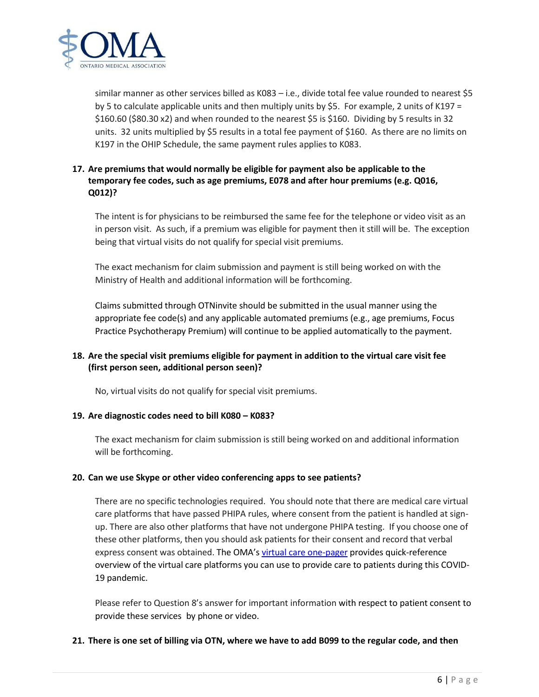

similar manner as other services billed as K083 – i.e., divide total fee value rounded to nearest \$5 by 5 to calculate applicable units and then multiply units by \$5. For example, 2 units of K197 = \$160.60 (\$80.30 x2) and when rounded to the nearest \$5 is \$160. Dividing by 5 results in 32 units. 32 units multiplied by \$5 results in a total fee payment of \$160. As there are no limits on K197 in the OHIP Schedule, the same payment rules applies to K083.

# **17. Are premiums that would normally be eligible for payment also be applicable to the temporary fee codes, such as age premiums, E078 and after hour premiums (e.g. Q016, Q012)?**

The intent is for physicians to be reimbursed the same fee for the telephone or video visit as an in person visit. As such, if a premium was eligible for payment then it still will be. The exception being that virtual visits do not qualify for special visit premiums.

The exact mechanism for claim submission and payment is still being worked on with the Ministry of Health and additional information will be forthcoming.

Claims submitted through OTNinvite should be submitted in the usual manner using the appropriate fee code(s) and any applicable automated premiums (e.g., age premiums, Focus Practice Psychotherapy Premium) will continue to be applied automatically to the payment.

# **18. Are the special visit premiums eligible for payment in addition to the virtual care visit fee (first person seen, additional person seen)?**

No, virtual visits do not qualify for special visit premiums.

# **19. Are diagnostic codes need to bill K080 – K083?**

The exact mechanism for claim submission is still being worked on and additional information will be forthcoming.

# **20. Can we use Skype or other video conferencing apps to see patients?**

There are no specific technologies required. You should note that there are medical care virtual care platforms that have passed PHIPA rules, where consent from the patient is handled at signup. There are also other platforms that have not undergone PHIPA testing. If you choose one of these other platforms, then you should ask patients for their consent and record that verbal express consent was obtained. The OMA's [virtual care one-pager](https://content.oma.org/wp-content/uploads/private/VC-Covid19-visual-V4.pdf) provides quick-reference overview of the virtual care platforms you can use to provide care to patients during this COVID-19 pandemic.

Please refer to Question 8's answer for important information with respect to patient consent to provide these services by phone or video.

### **21. There is one set of billing via OTN, where we have to add B099 to the regular code, and then**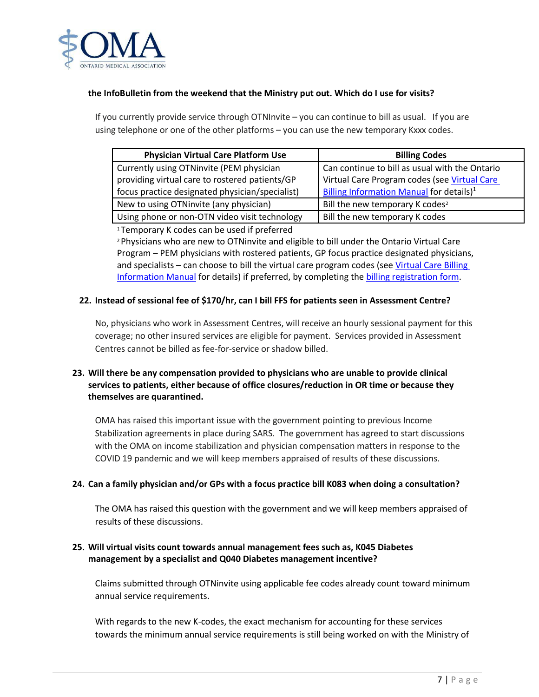

### **the InfoBulletin from the weekend that the Ministry put out. Which do I use for visits?**

If you currently provide service through OTNInvite – you can continue to bill as usual. If you are using telephone or one of the other platforms – you can use the new temporary Kxxx codes.

| <b>Physician Virtual Care Platform Use</b>      | <b>Billing Codes</b>                                 |
|-------------------------------------------------|------------------------------------------------------|
| Currently using OTNinvite (PEM physician        | Can continue to bill as usual with the Ontario       |
| providing virtual care to rostered patients/GP  | Virtual Care Program codes (see Virtual Care         |
| focus practice designated physician/specialist) | Billing Information Manual for details) <sup>1</sup> |
| New to using OTNinvite (any physician)          | Bill the new temporary K codes <sup>2</sup>          |
| Using phone or non-OTN video visit technology   | Bill the new temporary K codes                       |

<sup>1</sup>Temporary K codes can be used if preferred

<sup>2</sup>Physicians who are new to OTNinvite and eligible to bill under the Ontario Virtual Care Program – PEM physicians with rostered patients, GP focus practice designated physicians, and specialists – can choose to bill the virtual care program codes (see [Virtual Care Billing](https://support.otn.ca/sites/default/files/virtual-care-billing-information-manual.pdf)  [Information Manual](https://support.otn.ca/sites/default/files/virtual-care-billing-information-manual.pdf) for details) if preferred, by completing the [billing registration form.](https://support.otn.ca/sites/default/files/ohip_telemedicine_physician_registration_form.pdf)

### **22. Instead of sessional fee of \$170/hr, can I bill FFS for patients seen in Assessment Centre?**

No, physicians who work in Assessment Centres, will receive an hourly sessional payment for this coverage; no other insured services are eligible for payment. Services provided in Assessment Centres cannot be billed as fee-for-service or shadow billed.

# **23. Will there be any compensation provided to physicians who are unable to provide clinical services to patients, either because of office closures/reduction in OR time or because they themselves are quarantined.**

OMA has raised this important issue with the government pointing to previous Income Stabilization agreements in place during SARS. The government has agreed to start discussions with the OMA on income stabilization and physician compensation matters in response to the COVID 19 pandemic and we will keep members appraised of results of these discussions.

### **24. Can a family physician and/or GPs with a focus practice bill K083 when doing a consultation?**

The OMA has raised this question with the government and we will keep members appraised of results of these discussions.

## **25. Will virtual visits count towards annual management fees such as, K045 Diabetes management by a specialist and Q040 Diabetes management incentive?**

Claims submitted through OTNinvite using applicable fee codes already count toward minimum annual service requirements.

With regards to the new K-codes, the exact mechanism for accounting for these services towards the minimum annual service requirements is still being worked on with the Ministry of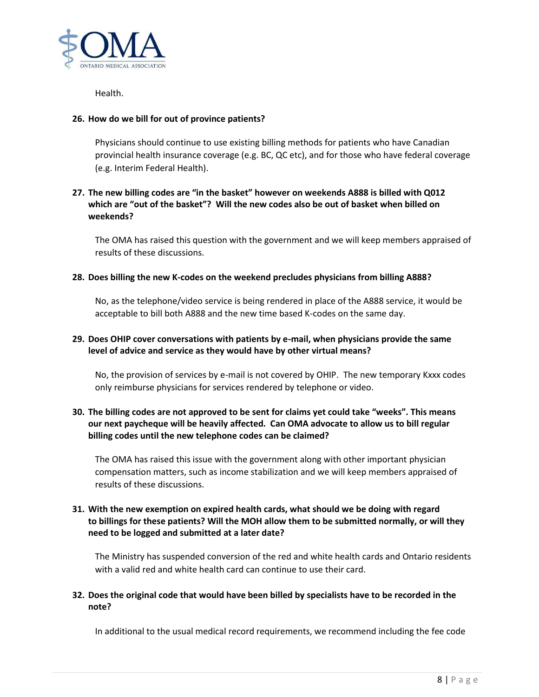

Health.

### **26. How do we bill for out of province patients?**

Physicians should continue to use existing billing methods for patients who have Canadian provincial health insurance coverage (e.g. BC, QC etc), and for those who have federal coverage (e.g. Interim Federal Health).

## **27. The new billing codes are "in the basket" however on weekends A888 is billed with Q012 which are "out of the basket"? Will the new codes also be out of basket when billed on weekends?**

The OMA has raised this question with the government and we will keep members appraised of results of these discussions.

### **28. Does billing the new K-codes on the weekend precludes physicians from billing A888?**

No, as the telephone/video service is being rendered in place of the A888 service, it would be acceptable to bill both A888 and the new time based K-codes on the same day.

## **29. Does OHIP cover conversations with patients by e-mail, when physicians provide the same level of advice and service as they would have by other virtual means?**

No, the provision of services by e-mail is not covered by OHIP. The new temporary Kxxx codes only reimburse physicians for services rendered by telephone or video.

# **30. The billing codes are not approved to be sent for claims yet could take "weeks". This means our next paycheque will be heavily affected. Can OMA advocate to allow us to bill regular billing codes until the new telephone codes can be claimed?**

The OMA has raised this issue with the government along with other important physician compensation matters, such as income stabilization and we will keep members appraised of results of these discussions.

## **31. With the new exemption on expired health cards, what should we be doing with regard to billings for these patients? Will the MOH allow them to be submitted normally, or will they need to be logged and submitted at a later date?**

The Ministry has suspended conversion of the red and white health cards and Ontario residents with a valid red and white health card can continue to use their card.

## **32. Does the original code that would have been billed by specialists have to be recorded in the note?**

In additional to the usual medical record requirements, we recommend including the fee code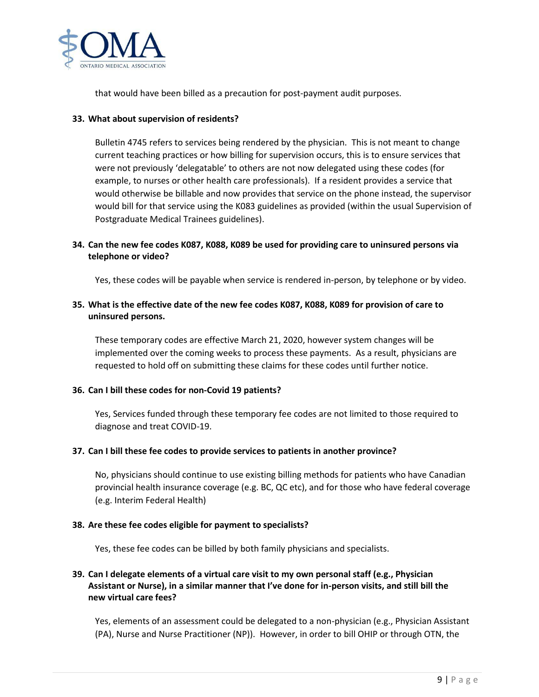

that would have been billed as a precaution for post-payment audit purposes.

## **33. What about supervision of residents?**

Bulletin 4745 refers to services being rendered by the physician. This is not meant to change current teaching practices or how billing for supervision occurs, this is to ensure services that were not previously 'delegatable' to others are not now delegated using these codes (for example, to nurses or other health care professionals). If a resident provides a service that would otherwise be billable and now provides that service on the phone instead, the supervisor would bill for that service using the K083 guidelines as provided (within the usual Supervision of Postgraduate Medical Trainees guidelines).

# **34. Can the new fee codes K087, K088, K089 be used for providing care to uninsured persons via telephone or video?**

Yes, these codes will be payable when service is rendered in-person, by telephone or by video.

# **35. What is the effective date of the new fee codes K087, K088, K089 for provision of care to uninsured persons.**

These temporary codes are effective March 21, 2020, however system changes will be implemented over the coming weeks to process these payments. As a result, physicians are requested to hold off on submitting these claims for these codes until further notice.

# **36. Can I bill these codes for non-Covid 19 patients?**

Yes, Services funded through these temporary fee codes are not limited to those required to diagnose and treat COVID-19.

### **37. Can I bill these fee codes to provide services to patients in another province?**

No, physicians should continue to use existing billing methods for patients who have Canadian provincial health insurance coverage (e.g. BC, QC etc), and for those who have federal coverage (e.g. Interim Federal Health)

### **38. Are these fee codes eligible for payment to specialists?**

Yes, these fee codes can be billed by both family physicians and specialists.

# **39. Can I delegate elements of a virtual care visit to my own personal staff (e.g., Physician Assistant or Nurse), in a similar manner that I've done for in-person visits, and still bill the new virtual care fees?**

Yes, elements of an assessment could be delegated to a non-physician (e.g., Physician Assistant (PA), Nurse and Nurse Practitioner (NP)). However, in order to bill OHIP or through OTN, the